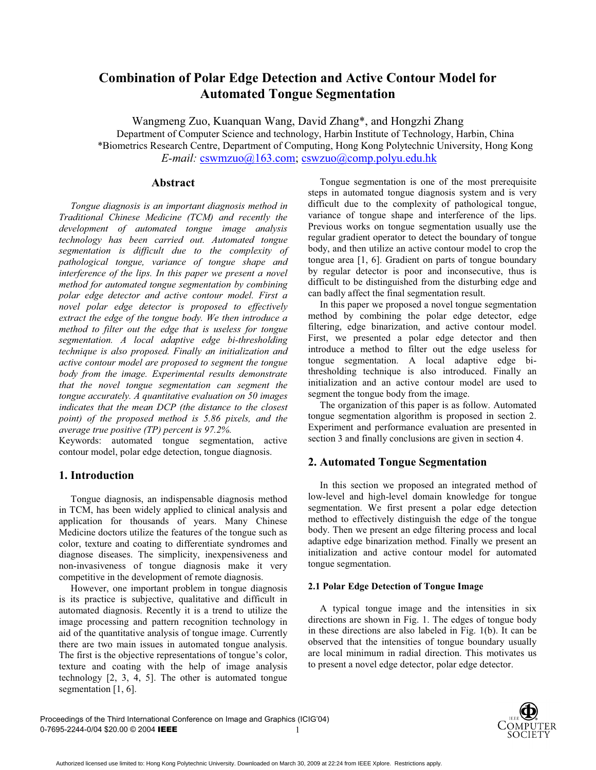# **Combination of Polar Edge Detection and Active Contour Model for Automated Tongue Segmentation**

Wangmeng Zuo, Kuanquan Wang, David Zhang\*, and Hongzhi Zhang Department of Computer Science and technology, Harbin Institute of Technology, Harbin, China \*Biometrics Research Centre, Department of Computing, Hong Kong Polytechnic University, Hong Kong  *E-mail:* cswmzuo@163.com; cswzuo@comp.polyu.edu.hk

## **Abstract**

*Tongue diagnosis is an important diagnosis method in Traditional Chinese Medicine (TCM) and recently the development of automated tongue image analysis technology has been carried out. Automated tongue segmentation is difficult due to the complexity of pathological tongue, variance of tongue shape and interference of the lips. In this paper we present a novel method for automated tongue segmentation by combining polar edge detector and active contour model. First a novel polar edge detector is proposed to effectively extract the edge of the tongue body. We then introduce a method to filter out the edge that is useless for tongue segmentation. A local adaptive edge bi-thresholding technique is also proposed. Finally an initialization and active contour model are proposed to segment the tongue body from the image. Experimental results demonstrate that the novel tongue segmentation can segment the tongue accurately. A quantitative evaluation on 50 images indicates that the mean DCP (the distance to the closest point) of the proposed method is 5.86 pixels, and the average true positive (TP) percent is 97.2%.* 

Keywords: automated tongue segmentation, active contour model, polar edge detection, tongue diagnosis.

# **1. Introduction**

Tongue diagnosis, an indispensable diagnosis method in TCM, has been widely applied to clinical analysis and application for thousands of years. Many Chinese Medicine doctors utilize the features of the tongue such as color, texture and coating to differentiate syndromes and diagnose diseases. The simplicity, inexpensiveness and non-invasiveness of tongue diagnosis make it very competitive in the development of remote diagnosis.

However, one important problem in tongue diagnosis is its practice is subjective, qualitative and difficult in automated diagnosis. Recently it is a trend to utilize the image processing and pattern recognition technology in aid of the quantitative analysis of tongue image. Currently there are two main issues in automated tongue analysis. The first is the objective representations of tongue's color, texture and coating with the help of image analysis technology [2, 3, 4, 5]. The other is automated tongue segmentation [1, 6].

Tongue segmentation is one of the most prerequisite steps in automated tongue diagnosis system and is very difficult due to the complexity of pathological tongue, variance of tongue shape and interference of the lips. Previous works on tongue segmentation usually use the regular gradient operator to detect the boundary of tongue body, and then utilize an active contour model to crop the tongue area [1, 6]. Gradient on parts of tongue boundary by regular detector is poor and inconsecutive, thus is difficult to be distinguished from the disturbing edge and can badly affect the final segmentation result.

In this paper we proposed a novel tongue segmentation method by combining the polar edge detector, edge filtering, edge binarization, and active contour model. First, we presented a polar edge detector and then introduce a method to filter out the edge useless for tongue segmentation. A local adaptive edge bithresholding technique is also introduced. Finally an initialization and an active contour model are used to segment the tongue body from the image.

The organization of this paper is as follow. Automated tongue segmentation algorithm is proposed in section 2. Experiment and performance evaluation are presented in section 3 and finally conclusions are given in section 4.

# **2. Automated Tongue Segmentation**

In this section we proposed an integrated method of low-level and high-level domain knowledge for tongue segmentation. We first present a polar edge detection method to effectively distinguish the edge of the tongue body. Then we present an edge filtering process and local adaptive edge binarization method. Finally we present an initialization and active contour model for automated tongue segmentation.

## **2.1 Polar Edge Detection of Tongue Image**

A typical tongue image and the intensities in six directions are shown in Fig. 1. The edges of tongue body in these directions are also labeled in Fig. 1(b). It can be observed that the intensities of tongue boundary usually are local minimum in radial direction. This motivates us to present a novel edge detector, polar edge detector.

1 Proceedings of the Third International Conference on Image and Graphics (ICIG'04) 0-7695-2244-0/04 \$20.00 © 2004 IEEE

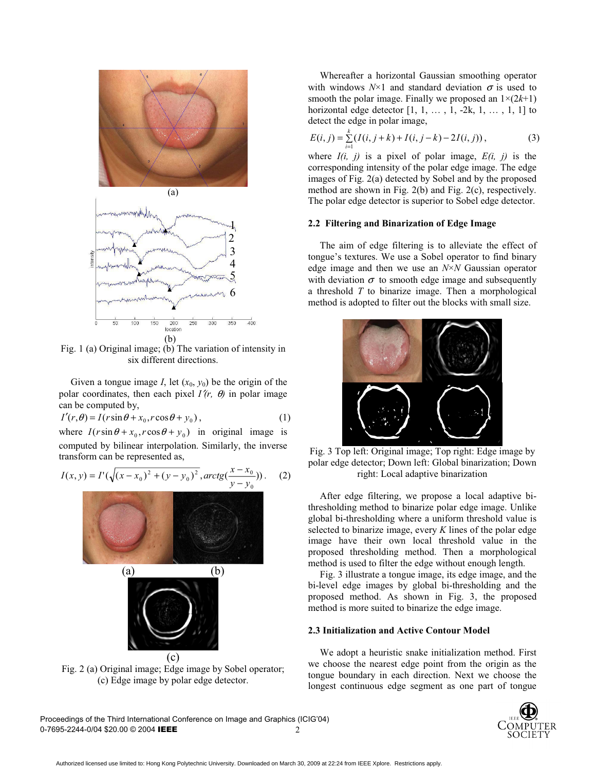

Fig. 1 (a) Original image; (b) The variation of intensity in six different directions.

Given a tongue image *I*, let  $(x_0, y_0)$  be the origin of the polar coordinates, then each pixel  $I(r, \theta)$  in polar image can be computed by,

$$
I'(r,\theta) = I(r\sin\theta + x_0, r\cos\theta + y_0),
$$
 (1)

where  $I(r\sin\theta + x_0, r\cos\theta + y_0)$  in original image is computed by bilinear interpolation. Similarly, the inverse transform can be represented as,

$$
I(x, y) = \Gamma(\sqrt{(x - x_0)^2 + (y - y_0)^2}, \arctg(\frac{x - x_0}{y - y_0})).
$$
 (2)



Fig. 2 (a) Original image; Edge image by Sobel operator; (c) Edge image by polar edge detector.

Whereafter a horizontal Gaussian smoothing operator with windows  $N \times 1$  and standard deviation  $\sigma$  is used to smooth the polar image. Finally we proposed an  $1\times(2k+1)$ horizontal edge detector  $[1, 1, \ldots, 1, -2k, 1, \ldots, 1, 1]$  to detect the edge in polar image,

$$
E(i, j) = \sum_{i=1}^{k} (I(i, j+k) + I(i, j-k) - 2I(i, j)),
$$
\n(3)

where  $I(i, j)$  is a pixel of polar image,  $E(i, j)$  is the corresponding intensity of the polar edge image. The edge images of Fig. 2(a) detected by Sobel and by the proposed method are shown in Fig. 2(b) and Fig. 2(c), respectively. The polar edge detector is superior to Sobel edge detector.

#### **2.2 Filtering and Binarization of Edge Image**

The aim of edge filtering is to alleviate the effect of tongue's textures. We use a Sobel operator to find binary edge image and then we use an *N*×*N* Gaussian operator with deviation  $\sigma$  to smooth edge image and subsequently a threshold *T* to binarize image. Then a morphological method is adopted to filter out the blocks with small size.



Fig. 3 Top left: Original image; Top right: Edge image by polar edge detector; Down left: Global binarization; Down right: Local adaptive binarization

After edge filtering, we propose a local adaptive bithresholding method to binarize polar edge image. Unlike global bi-thresholding where a uniform threshold value is selected to binarize image, every *K* lines of the polar edge image have their own local threshold value in the proposed thresholding method. Then a morphological method is used to filter the edge without enough length.

Fig. 3 illustrate a tongue image, its edge image, and the bi-level edge images by global bi-thresholding and the proposed method. As shown in Fig. 3, the proposed method is more suited to binarize the edge image.

#### **2.3 Initialization and Active Contour Model**

We adopt a heuristic snake initialization method. First we choose the nearest edge point from the origin as the tongue boundary in each direction. Next we choose the longest continuous edge segment as one part of tongue

0-7695-2244-0/04 \$20.00 © 2004 IEEE 2 Proceedings of the Third International Conference on Image and Graphics (ICIG'04)

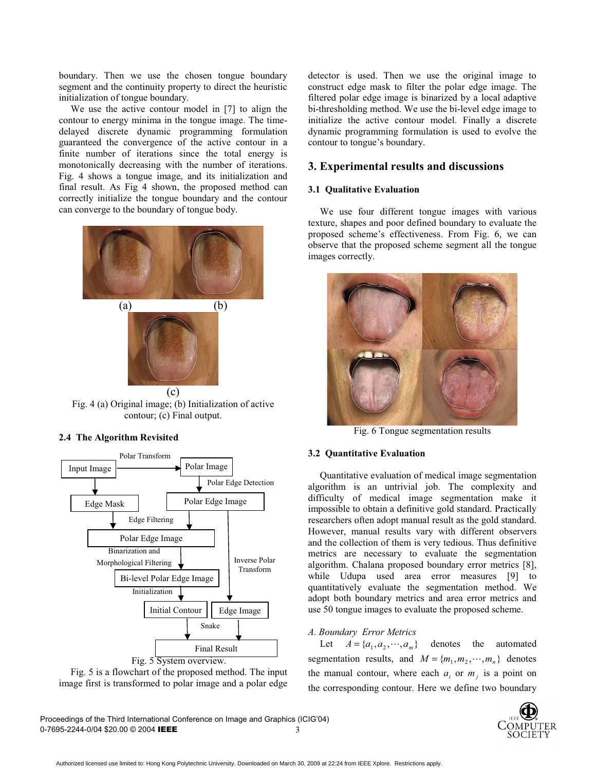boundary. Then we use the chosen tongue boundary segment and the continuity property to direct the heuristic initialization of tongue boundary.

We use the active contour model in [7] to align the contour to energy minima in the tongue image. The timedelayed discrete dynamic programming formulation guaranteed the convergence of the active contour in a finite number of iterations since the total energy is monotonically decreasing with the number of iterations. Fig. 4 shows a tongue image, and its initialization and final result. As Fig 4 shown, the proposed method can correctly initialize the tongue boundary and the contour can converge to the boundary of tongue body.



Fig. 4 (a) Original image; (b) Initialization of active contour; (c) Final output.

**2.4 The Algorithm Revisited** 





detector is used. Then we use the original image to construct edge mask to filter the polar edge image. The filtered polar edge image is binarized by a local adaptive bi-thresholding method. We use the bi-level edge image to initialize the active contour model. Finally a discrete dynamic programming formulation is used to evolve the contour to tongue's boundary.

# **3. Experimental results and discussions**

## **3.1 Qualitative Evaluation**

We use four different tongue images with various texture, shapes and poor defined boundary to evaluate the proposed scheme's effectiveness. From Fig. 6, we can observe that the proposed scheme segment all the tongue images correctly.



Fig. 6 Tongue segmentation results

## **3.2 Quantitative Evaluation**

Quantitative evaluation of medical image segmentation algorithm is an untrivial job. The complexity and difficulty of medical image segmentation make it impossible to obtain a definitive gold standard. Practically researchers often adopt manual result as the gold standard. However, manual results vary with different observers and the collection of them is very tedious. Thus definitive metrics are necessary to evaluate the segmentation algorithm. Chalana proposed boundary error metrics [8], while Udupa used area error measures [9] to quantitatively evaluate the segmentation method. We adopt both boundary metrics and area error metrics and use 50 tongue images to evaluate the proposed scheme.

## *A. Boundary Error Metrics*

Let  $A = \{a_1, a_2, \dots, a_m\}$  denotes the automated segmentation results, and  $M = \{m_1, m_2, \cdots, m_n\}$  denotes the manual contour, where each  $a_i$  or  $m_i$  is a point on the corresponding contour. Here we define two boundary

0-7695-2244-0/04  $$20.00 \text{ } \textcircled{2}$  2004 IEEE 3 Proceedings of the Third International Conference on Image and Graphics (ICIG'04)